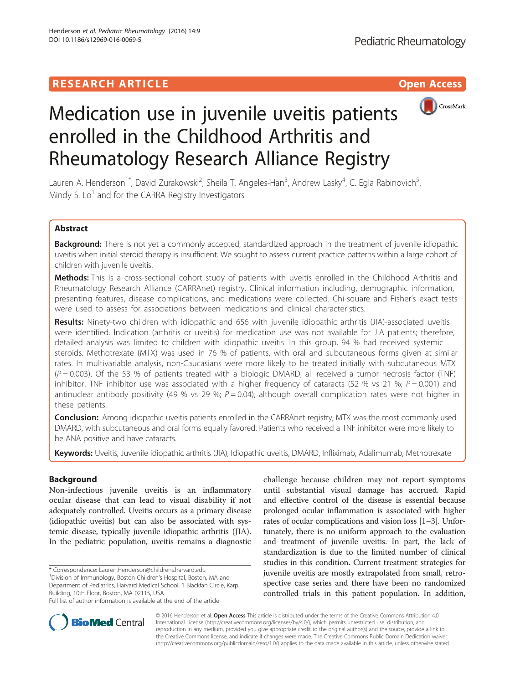# **RESEARCH ARTICLE Example 2018 12:00 Department of the Contract Open Access**



# Medication use in juvenile uveitis patients enrolled in the Childhood Arthritis and Rheumatology Research Alliance Registry

Lauren A. Henderson<sup>1\*</sup>, David Zurakowski<sup>2</sup>, Sheila T. Angeles-Han<sup>3</sup>, Andrew Lasky<sup>4</sup>, C. Egla Rabinovich<sup>5</sup> , Mindy S.  $Lo<sup>1</sup>$  and for the CARRA Registry Investigators

# Abstract

Background: There is not yet a commonly accepted, standardized approach in the treatment of juvenile idiopathic uveitis when initial steroid therapy is insufficient. We sought to assess current practice patterns within a large cohort of children with juvenile uveitis.

Methods: This is a cross-sectional cohort study of patients with uveitis enrolled in the Childhood Arthritis and Rheumatology Research Alliance (CARRAnet) registry. Clinical information including, demographic information, presenting features, disease complications, and medications were collected. Chi-square and Fisher's exact tests were used to assess for associations between medications and clinical characteristics.

Results: Ninety-two children with idiopathic and 656 with juvenile idiopathic arthritis (JIA)-associated uveitis were identified. Indication (arthritis or uveitis) for medication use was not available for JIA patients; therefore, detailed analysis was limited to children with idiopathic uveitis. In this group, 94 % had received systemic steroids. Methotrexate (MTX) was used in 76 % of patients, with oral and subcutaneous forms given at similar rates. In multivariable analysis, non-Caucasians were more likely to be treated initially with subcutaneous MTX  $(P = 0.003)$ . Of the 53 % of patients treated with a biologic DMARD, all received a tumor necrosis factor (TNF) inhibitor. TNF inhibitor use was associated with a higher frequency of cataracts (52 % vs 21 %;  $P = 0.001$ ) and antinuclear antibody positivity (49 % vs 29 %;  $P = 0.04$ ), although overall complication rates were not higher in these patients.

**Conclusion:** Among idiopathic uveitis patients enrolled in the CARRAnet registry, MTX was the most commonly used DMARD, with subcutaneous and oral forms equally favored. Patients who received a TNF inhibitor were more likely to be ANA positive and have cataracts.

Keywords: Uveitis, Juvenile idiopathic arthritis (JIA), Idiopathic uveitis, DMARD, Infliximab, Adalimumab, Methotrexate

# Background

Non-infectious juvenile uveitis is an inflammatory ocular disease that can lead to visual disability if not adequately controlled. Uveitis occurs as a primary disease (idiopathic uveitis) but can also be associated with systemic disease, typically juvenile idiopathic arthritis (JIA). In the pediatric population, uveitis remains a diagnostic

\* Correspondence: [Lauren.Henderson@childrens.harvard.edu](mailto:Lauren.Henderson@childrens.harvard.edu) <sup>1</sup>

<sup>1</sup> Division of Immunology, Boston Children's Hospital, Boston, MA and Department of Pediatrics, Harvard Medical School, 1 Blackfan Circle, Karp Building, 10th Floor, Boston, MA 02115, USA Full list of author information is available at the end of the article



© 2016 Henderson et al. Open Access This article is distributed under the terms of the Creative Commons Attribution 4.0 International License [\(http://creativecommons.org/licenses/by/4.0/](http://creativecommons.org/licenses/by/4.0/)), which permits unrestricted use, distribution, and reproduction in any medium, provided you give appropriate credit to the original author(s) and the source, provide a link to the Creative Commons license, and indicate if changes were made. The Creative Commons Public Domain Dedication waiver [\(http://creativecommons.org/publicdomain/zero/1.0/](http://creativecommons.org/publicdomain/zero/1.0/)) applies to the data made available in this article, unless otherwise stated.

challenge because children may not report symptoms until substantial visual damage has accrued. Rapid and effective control of the disease is essential because prolonged ocular inflammation is associated with higher rates of ocular complications and vision loss [\[1](#page-8-0)–[3](#page-8-0)]. Unfortunately, there is no uniform approach to the evaluation and treatment of juvenile uveitis. In part, the lack of standardization is due to the limited number of clinical studies in this condition. Current treatment strategies for juvenile uveitis are mostly extrapolated from small, retrospective case series and there have been no randomized controlled trials in this patient population. In addition,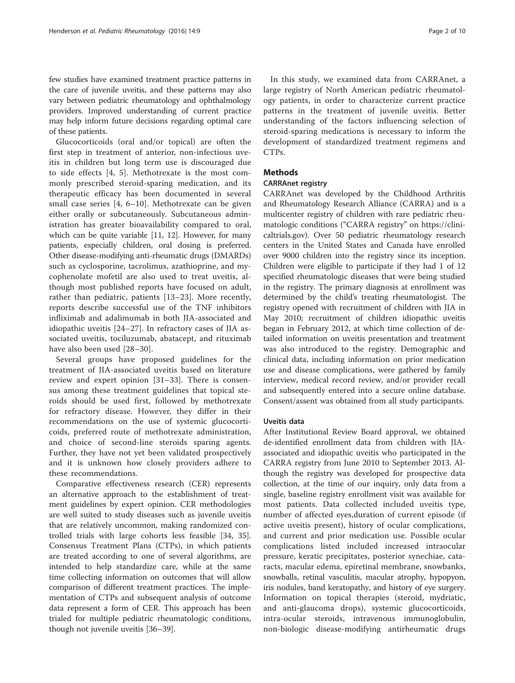few studies have examined treatment practice patterns in the care of juvenile uveitis, and these patterns may also vary between pediatric rheumatology and ophthalmology providers. Improved understanding of current practice may help inform future decisions regarding optimal care of these patients.

Glucocorticoids (oral and/or topical) are often the first step in treatment of anterior, non-infectious uveitis in children but long term use is discouraged due to side effects [[4, 5\]](#page-8-0). Methotrexate is the most commonly prescribed steroid-sparing medication, and its therapeutic efficacy has been documented in several small case series [\[4](#page-8-0), [6](#page-8-0)–[10\]](#page-8-0). Methotrexate can be given either orally or subcutaneously. Subcutaneous administration has greater bioavailability compared to oral, which can be quite variable [[11](#page-8-0), [12\]](#page-8-0). However, for many patients, especially children, oral dosing is preferred. Other disease-modifying anti-rheumatic drugs (DMARDs) such as cyclosporine, tacrolimus, azathioprine, and mycophenolate mofetil are also used to treat uveitis, although most published reports have focused on adult, rather than pediatric, patients [\[13](#page-8-0)–[23](#page-8-0)]. More recently, reports describe successful use of the TNF inhibitors infliximab and adalimumab in both JIA-associated and idiopathic uveitis [[24](#page-8-0)–[27\]](#page-8-0). In refractory cases of JIA associated uveitis, tociluzumab, abatacept, and rituximab have also been used [[28](#page-8-0)–[30\]](#page-8-0).

Several groups have proposed guidelines for the treatment of JIA-associated uveitis based on literature review and expert opinion [\[31](#page-8-0)–[33](#page-8-0)]. There is consensus among these treatment guidelines that topical steroids should be used first, followed by methotrexate for refractory disease. However, they differ in their recommendations on the use of systemic glucocorticoids, preferred route of methotrexate administration, and choice of second-line steroids sparing agents. Further, they have not yet been validated prospectively and it is unknown how closely providers adhere to these recommendations.

Comparative effectiveness research (CER) represents an alternative approach to the establishment of treatment guidelines by expert opinion. CER methodologies are well suited to study diseases such as juvenile uveitis that are relatively uncommon, making randomized controlled trials with large cohorts less feasible [[34, 35](#page-8-0)]. Consensus Treatment Plans (CTPs), in which patients are treated according to one of several algorithms, are intended to help standardize care, while at the same time collecting information on outcomes that will allow comparison of different treatment practices. The implementation of CTPs and subsequent analysis of outcome data represent a form of CER. This approach has been trialed for multiple pediatric rheumatologic conditions, though not juvenile uveitis [\[36](#page-8-0)–[39\]](#page-8-0).

In this study, we examined data from CARRAnet, a large registry of North American pediatric rheumatology patients, in order to characterize current practice patterns in the treatment of juvenile uveitis. Better understanding of the factors influencing selection of steroid-sparing medications is necessary to inform the development of standardized treatment regimens and CTPs.

# Methods

## CARRAnet registry

CARRAnet was developed by the Childhood Arthritis and Rheumatology Research Alliance (CARRA) and is a multicenter registry of children with rare pediatric rheumatologic conditions ("CARRA registry" on [https://clini](https://clinicaltrials.gov/)[caltrials.gov\)](https://clinicaltrials.gov/). Over 50 pediatric rheumatology research centers in the United States and Canada have enrolled over 9000 children into the registry since its inception. Children were eligible to participate if they had 1 of 12 specified rheumatologic diseases that were being studied in the registry. The primary diagnosis at enrollment was determined by the child's treating rheumatologist. The registry opened with recruitment of children with JIA in May 2010; recruitment of children idiopathic uveitis began in February 2012, at which time collection of detailed information on uveitis presentation and treatment was also introduced to the registry. Demographic and clinical data, including information on prior medication use and disease complications, were gathered by family interview, medical record review, and/or provider recall and subsequently entered into a secure online database. Consent/assent was obtained from all study participants.

## Uveitis data

After Institutional Review Board approval, we obtained de-identified enrollment data from children with JIAassociated and idiopathic uveitis who participated in the CARRA registry from June 2010 to September 2013. Although the registry was developed for prospective data collection, at the time of our inquiry, only data from a single, baseline registry enrollment visit was available for most patients. Data collected included uveitis type, number of affected eyes,duration of current episode (if active uveitis present), history of ocular complications, and current and prior medication use. Possible ocular complications listed included increased intraocular pressure, keratic precipitates, posterior synechiae, cataracts, macular edema, epiretinal membrane, snowbanks, snowballs, retinal vasculitis, macular atrophy, hypopyon, iris nodules, band keratopathy, and history of eye surgery. Information on topical therapies (steroid, mydriatic, and anti-glaucoma drops), systemic glucocorticoids, intra-ocular steroids, intravenous immunoglobulin, non-biologic disease-modifying antirheumatic drugs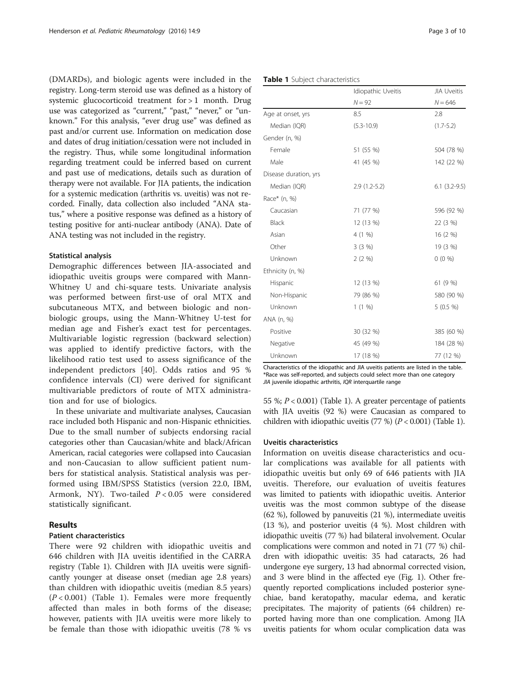(DMARDs), and biologic agents were included in the registry. Long-term steroid use was defined as a history of systemic glucocorticoid treatment for > 1 month. Drug use was categorized as "current," "past," "never," or "unknown." For this analysis, "ever drug use" was defined as past and/or current use. Information on medication dose and dates of drug initiation/cessation were not included in the registry. Thus, while some longitudinal information regarding treatment could be inferred based on current and past use of medications, details such as duration of therapy were not available. For JIA patients, the indication for a systemic medication (arthritis vs. uveitis) was not recorded. Finally, data collection also included "ANA status," where a positive response was defined as a history of testing positive for anti-nuclear antibody (ANA). Date of ANA testing was not included in the registry.

## Statistical analysis

Demographic differences between JIA-associated and idiopathic uveitis groups were compared with Mann-Whitney U and chi-square tests. Univariate analysis was performed between first-use of oral MTX and subcutaneous MTX, and between biologic and nonbiologic groups, using the Mann-Whitney U-test for median age and Fisher's exact test for percentages. Multivariable logistic regression (backward selection) was applied to identify predictive factors, with the likelihood ratio test used to assess significance of the independent predictors [\[40](#page-8-0)]. Odds ratios and 95 % confidence intervals (CI) were derived for significant multivariable predictors of route of MTX administration and for use of biologics.

In these univariate and multivariate analyses, Caucasian race included both Hispanic and non-Hispanic ethnicities. Due to the small number of subjects endorsing racial categories other than Caucasian/white and black/African American, racial categories were collapsed into Caucasian and non-Caucasian to allow sufficient patient numbers for statistical analysis. Statistical analysis was performed using IBM/SPSS Statistics (version 22.0, IBM, Armonk, NY). Two-tailed  $P < 0.05$  were considered statistically significant.

# **Results**

## Patient characteristics

There were 92 children with idiopathic uveitis and 646 children with JIA uveitis identified in the CARRA registry (Table 1). Children with JIA uveitis were significantly younger at disease onset (median age 2.8 years) than children with idiopathic uveitis (median 8.5 years)  $(P<0.001)$  (Table 1). Females were more frequently affected than males in both forms of the disease; however, patients with JIA uveitis were more likely to be female than those with idiopathic uveitis (78 % vs

|                       | Idiopathic Uveitis | JIA Uveitis       |
|-----------------------|--------------------|-------------------|
|                       | $N = 92$           | $N = 646$         |
| Age at onset, yrs     | 8.5                | 2.8               |
| Median (IQR)          | $(5.3 - 10.9)$     | $(1.7 - 5.2)$     |
| Gender (n, %)         |                    |                   |
| Female                | 51 (55 %)          | 504 (78 %)        |
| Male                  | 41 (45 %)          | 142 (22 %)        |
| Disease duration, yrs |                    |                   |
| Median (IQR)          | $2.9(1.2-5.2)$     | $6.1$ $(3.2-9.5)$ |
| Race* (n, %)          |                    |                   |
| Caucasian             | 71 (77 %)          | 596 (92 %)        |
| Black                 | 12 (13 %)          | 22 (3 %)          |
| Asian                 | 4(1%)              | 16 (2 %)          |
| Other                 | 3(3%)              | 19 (3 %)          |
| Unknown               | 2(2%)              | $0(0\%)$          |
| Ethnicity (n, %)      |                    |                   |
| Hispanic              | 12 (13 %)          | 61 (9 %)          |
| Non-Hispanic          | 79 (86 %)          | 580 (90 %)        |
| Unknown               | 1(1%               | $5(0.5\%)$        |
| ANA (n, %)            |                    |                   |
| Positive              | 30 (32 %)          | 385 (60 %)        |
| Negative              | 45 (49 %)          | 184 (28 %)        |
| Unknown               | 17 (18 %)          | 77 (12 %)         |

Characteristics of the idiopathic and JIA uveitis patients are listed in the table. \*Race was self-reported, and subjects could select more than one category JIA juvenile idiopathic arthritis, IQR interquartile range

55 %;  $P < 0.001$ ) (Table 1). A greater percentage of patients with JIA uveitis (92 %) were Caucasian as compared to children with idiopathic uveitis  $(77%) (P < 0.001)$  (Table 1).

# Uveitis characteristics

Information on uveitis disease characteristics and ocular complications was available for all patients with idiopathic uveitis but only 69 of 646 patients with JIA uveitis. Therefore, our evaluation of uveitis features was limited to patients with idiopathic uveitis. Anterior uveitis was the most common subtype of the disease (62 %), followed by panuveitis (21 %), intermediate uveitis (13 %), and posterior uveitis (4 %). Most children with idiopathic uveitis (77 %) had bilateral involvement. Ocular complications were common and noted in 71 (77 %) children with idiopathic uveitis: 35 had cataracts, 26 had undergone eye surgery, 13 had abnormal corrected vision, and 3 were blind in the affected eye (Fig. [1](#page-3-0)). Other frequently reported complications included posterior synechiae, band keratopathy, macular edema, and keratic precipitates. The majority of patients (64 children) reported having more than one complication. Among JIA uveitis patients for whom ocular complication data was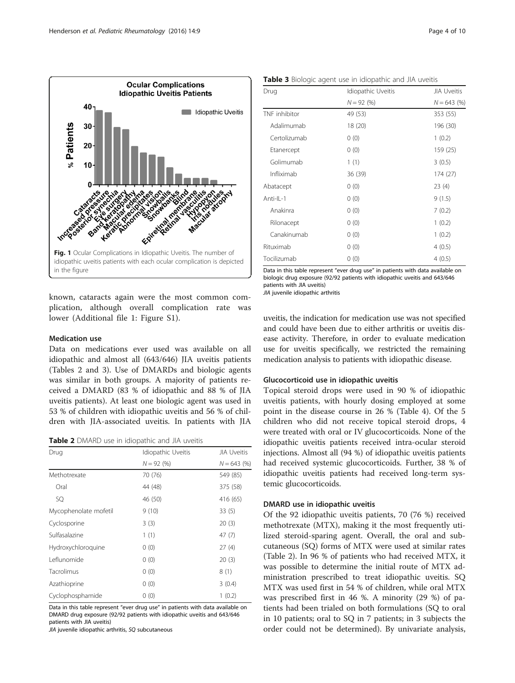<span id="page-3-0"></span>

known, cataracts again were the most common complication, although overall complication rate was lower (Additional file [1:](#page-7-0) Figure S1).

### Medication use

Data on medications ever used was available on all idiopathic and almost all (643/646) JIA uveitis patients (Tables 2 and 3). Use of DMARDs and biologic agents was similar in both groups. A majority of patients received a DMARD (83 % of idiopathic and 88 % of JIA uveitis patients). At least one biologic agent was used in 53 % of children with idiopathic uveitis and 56 % of children with JIA-associated uveitis. In patients with JIA

Table 2 DMARD use in idiopathic and JIA uveitis

| Idiopathic Uveitis | JIA Uveitis  |  |
|--------------------|--------------|--|
| $N = 92(%)$        | $N = 643(%)$ |  |
| 70 (76)            | 549 (85)     |  |
| 44 (48)            | 375 (58)     |  |
| 46 (50)            | 416 (65)     |  |
| 9(10)              | 33(5)        |  |
| 3(3)               | 20(3)        |  |
| 1(1)               | 47 (7)       |  |
| 0(0)               | 27(4)        |  |
| 0(0)               | 20(3)        |  |
| 0(0)               | 8(1)         |  |
| 0(0)               | 3(0.4)       |  |
| 0(0)               | 1(0.2)       |  |
|                    |              |  |

Data in this table represent "ever drug use" in patients with data available on DMARD drug exposure (92/92 patients with idiopathic uveitis and 643/646 patients with JIA uveitis)

JIA juvenile idiopathic arthritis, SQ subcutaneous

| Drug          | Idiopathic Uveitis | <b>JIA Uveitis</b><br>$N = 643$ (%) |  |
|---------------|--------------------|-------------------------------------|--|
|               | $N = 92(96)$       |                                     |  |
| TNF inhibitor | 49 (53)            | 353 (55)                            |  |
| Adalimumab    | 18 (20)            | 196 (30)                            |  |
| Certolizumab  | 0(0)               | 1(0.2)                              |  |
| Etanercept    | 0(0)               | 159 (25)                            |  |
| Golimumab     | 1(1)               | 3(0.5)                              |  |
| Infliximab    | 36 (39)            | 174 (27)                            |  |
| Abatacept     | 0(0)               | 23(4)                               |  |
| Anti-IL-1     | 0(0)               | 9(1.5)                              |  |
| Anakinra      | 0(0)               | 7(0.2)                              |  |
| Rilonacept    | 0(0)               | 1(0.2)                              |  |
| Canakinumab   | 0(0)               | 1(0.2)                              |  |
| Rituximab     | 0(0)               | 4(0.5)                              |  |
| Tocilizumab   | 0(0)               | 4(0.5)                              |  |

Table 3 Biologic agent use in idiopathic and JIA uveitis

Data in this table represent "ever drug use" in patients with data available on biologic drug exposure (92/92 patients with idiopathic uveitis and 643/646 patients with JIA uveitis)

JIA juvenile idiopathic arthritis

uveitis, the indication for medication use was not specified and could have been due to either arthritis or uveitis disease activity. Therefore, in order to evaluate medication use for uveitis specifically, we restricted the remaining medication analysis to patients with idiopathic disease.

#### Glucocorticoid use in idiopathic uveitis

Topical steroid drops were used in 90 % of idiopathic uveitis patients, with hourly dosing employed at some point in the disease course in 26 % (Table [4](#page-4-0)). Of the 5 children who did not receive topical steroid drops, 4 were treated with oral or IV glucocorticoids. None of the idiopathic uveitis patients received intra-ocular steroid injections. Almost all (94 %) of idiopathic uveitis patients had received systemic glucocorticoids. Further, 38 % of idiopathic uveitis patients had received long-term systemic glucocorticoids.

# DMARD use in idiopathic uveitis

Of the 92 idiopathic uveitis patients, 70 (76 %) received methotrexate (MTX), making it the most frequently utilized steroid-sparing agent. Overall, the oral and subcutaneous (SQ) forms of MTX were used at similar rates (Table 2). In 96 % of patients who had received MTX, it was possible to determine the initial route of MTX administration prescribed to treat idiopathic uveitis. SQ MTX was used first in 54 % of children, while oral MTX was prescribed first in 46 %. A minority (29 %) of patients had been trialed on both formulations (SQ to oral in 10 patients; oral to SQ in 7 patients; in 3 subjects the order could not be determined). By univariate analysis,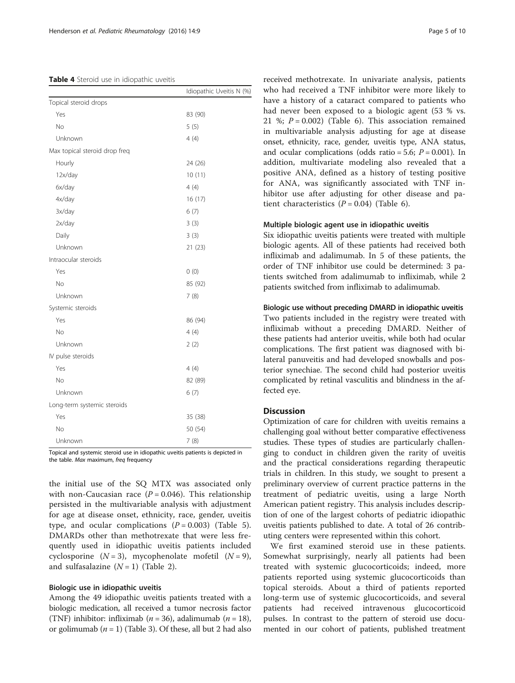#### <span id="page-4-0"></span>Table 4 Steroid use in idiopathic uveitis

|                               | Idiopathic Uveitis N |
|-------------------------------|----------------------|
| Topical steroid drops         |                      |
| Yes                           | 83 (90)              |
| No                            | 5(5)                 |
| Unknown                       | 4(4)                 |
| Max topical steroid drop freq |                      |
| Hourly                        | 24 (26)              |
| 12x/day                       | 10(11)               |
| 6x/day                        | 4(4)                 |
| 4x/day                        | 16(17)               |
| 3x/day                        | 6(7)                 |
| 2x/day                        | 3(3)                 |
| Daily                         | 3(3)                 |
| Unknown                       | 21(23)               |
| Intraocular steroids          |                      |
| Yes                           | 0(0)                 |
| No                            | 85 (92)              |
| Unknown                       | 7(8)                 |
| Systemic steroids             |                      |
| Yes                           | 86 (94)              |
| No                            | 4(4)                 |
| Unknown                       | 2(2)                 |
| IV pulse steroids             |                      |
| Yes                           | 4(4)                 |
| No                            | 82 (89)              |
| Unknown                       | 6(7)                 |
| Long-term systemic steroids   |                      |
| Yes                           | 35 (38)              |
| No                            | 50 (54)              |
| Unknown                       | 7(8)                 |

Topical and systemic steroid use in idiopathic uveitis patients is depicted in the table. Max maximum, freq frequency

the initial use of the SQ MTX was associated only with non-Caucasian race  $(P = 0.046)$ . This relationship persisted in the multivariable analysis with adjustment for age at disease onset, ethnicity, race, gender, uveitis type, and ocular complications  $(P = 0.003)$  (Table [5](#page-5-0)). DMARDs other than methotrexate that were less frequently used in idiopathic uveitis patients included cyclosporine  $(N = 3)$ , mycophenolate mofetil  $(N = 9)$ , and sulfasalazine  $(N = 1)$  (Table [2](#page-3-0)).

## Biologic use in idiopathic uveitis

Among the 49 idiopathic uveitis patients treated with a biologic medication, all received a tumor necrosis factor (TNF) inhibitor: infliximab ( $n = 36$ ), adalimumab ( $n = 18$ ), or golimumab ( $n = 1$ ) (Table [3](#page-3-0)). Of these, all but 2 had also received methotrexate. In univariate analysis, patients who had received a TNF inhibitor were more likely to have a history of a cataract compared to patients who had never been exposed to a biologic agent (53 % vs. 21 %;  $P = 0.002$ ) (Table [6](#page-6-0)). This association remained in multivariable analysis adjusting for age at disease onset, ethnicity, race, gender, uveitis type, ANA status, and ocular complications (odds ratio = 5.6;  $P = 0.001$ ). In addition, multivariate modeling also revealed that a positive ANA, defined as a history of testing positive for ANA, was significantly associated with TNF inhibitor use after adjusting for other disease and patient characteristics  $(P = 0.04)$  (Table [6](#page-6-0)).

#### Multiple biologic agent use in idiopathic uveitis

Six idiopathic uveitis patients were treated with multiple biologic agents. All of these patients had received both infliximab and adalimumab. In 5 of these patients, the order of TNF inhibitor use could be determined: 3 patients switched from adalimumab to infliximab, while 2 patients switched from infliximab to adalimumab.

## Biologic use without preceding DMARD in idiopathic uveitis

Two patients included in the registry were treated with infliximab without a preceding DMARD. Neither of these patients had anterior uveitis, while both had ocular complications. The first patient was diagnosed with bilateral panuveitis and had developed snowballs and posterior synechiae. The second child had posterior uveitis complicated by retinal vasculitis and blindness in the affected eye.

# **Discussion**

 $(% )$ 

Optimization of care for children with uveitis remains a challenging goal without better comparative effectiveness studies. These types of studies are particularly challenging to conduct in children given the rarity of uveitis and the practical considerations regarding therapeutic trials in children. In this study, we sought to present a preliminary overview of current practice patterns in the treatment of pediatric uveitis, using a large North American patient registry. This analysis includes description of one of the largest cohorts of pediatric idiopathic uveitis patients published to date. A total of 26 contributing centers were represented within this cohort.

We first examined steroid use in these patients. Somewhat surprisingly, nearly all patients had been treated with systemic glucocorticoids; indeed, more patients reported using systemic glucocorticoids than topical steroids. About a third of patients reported long-term use of systemic glucocorticoids, and several patients had received intravenous glucocorticoid pulses. In contrast to the pattern of steroid use documented in our cohort of patients, published treatment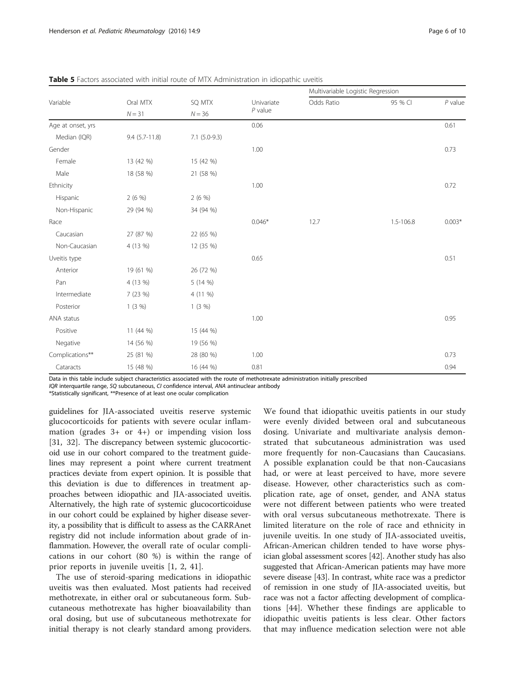| Variable          |                 | SQ MTX          | Univariate<br>$P$ value | Multivariable Logistic Regression |           |           |
|-------------------|-----------------|-----------------|-------------------------|-----------------------------------|-----------|-----------|
|                   | Oral MTX        |                 |                         | Odds Ratio                        | 95 % CI   | $P$ value |
|                   | $N = 31$        | $N = 36$        |                         |                                   |           |           |
| Age at onset, yrs |                 |                 | 0.06                    |                                   |           | 0.61      |
| Median (IQR)      | $9.4(5.7-11.8)$ | $7.1 (5.0-9.3)$ |                         |                                   |           |           |
| Gender            |                 |                 | 1.00                    |                                   |           | 0.73      |
| Female            | 13 (42 %)       | 15 (42 %)       |                         |                                   |           |           |
| Male              | 18 (58 %)       | 21 (58 %)       |                         |                                   |           |           |
| Ethnicity         |                 |                 | 1.00                    |                                   |           | 0.72      |
| Hispanic          | 2(6%)           | 2(6%)           |                         |                                   |           |           |
| Non-Hispanic      | 29 (94 %)       | 34 (94 %)       |                         |                                   |           |           |
| Race              |                 |                 | $0.046*$                | 12.7                              | 1.5-106.8 | $0.003*$  |
| Caucasian         | 27 (87 %)       | 22 (65 %)       |                         |                                   |           |           |
| Non-Caucasian     | 4 (13 %)        | 12 (35 %)       |                         |                                   |           |           |
| Uveitis type      |                 |                 | 0.65                    |                                   |           | 0.51      |
| Anterior          | 19 (61 %)       | 26 (72 %)       |                         |                                   |           |           |
| Pan               | 4 (13 %)        | 5(14%)          |                         |                                   |           |           |
| Intermediate      | 7 (23 %)        | 4 (11 %)        |                         |                                   |           |           |
| Posterior         | 1(3%)           | $1(3\%)$        |                         |                                   |           |           |
| ANA status        |                 |                 | 1.00                    |                                   |           | 0.95      |
| Positive          | 11 (44 %)       | 15 (44 %)       |                         |                                   |           |           |
| Negative          | 14 (56 %)       | 19 (56 %)       |                         |                                   |           |           |
| Complications**   | 25 (81 %)       | 28 (80 %)       | 1.00                    |                                   |           | 0.73      |
| Cataracts         | 15 (48 %)       | 16 (44 %)       | 0.81                    |                                   |           | 0.94      |

<span id="page-5-0"></span>Table 5 Factors associated with initial route of MTX Administration in idiopathic uveitis

Data in this table include subject characteristics associated with the route of methotrexate administration initially prescribed

IQR interquartile range, SQ subcutaneous, CI confidence interval, ANA antinuclear antibody

\*Statistically significant, \*\*Presence of at least one ocular complication

guidelines for JIA-associated uveitis reserve systemic glucocorticoids for patients with severe ocular inflammation (grades  $3+$  or  $4+$ ) or impending vision loss [[31, 32](#page-8-0)]. The discrepancy between systemic glucocorticoid use in our cohort compared to the treatment guidelines may represent a point where current treatment practices deviate from expert opinion. It is possible that this deviation is due to differences in treatment approaches between idiopathic and JIA-associated uveitis. Alternatively, the high rate of systemic glucocorticoiduse in our cohort could be explained by higher disease severity, a possibility that is difficult to assess as the CARRAnet registry did not include information about grade of inflammation. However, the overall rate of ocular complications in our cohort (80 %) is within the range of prior reports in juvenile uveitis [\[1](#page-8-0), [2, 41\]](#page-8-0).

The use of steroid-sparing medications in idiopathic uveitis was then evaluated. Most patients had received methotrexate, in either oral or subcutaneous form. Subcutaneous methotrexate has higher bioavailability than oral dosing, but use of subcutaneous methotrexate for initial therapy is not clearly standard among providers.

We found that idiopathic uveitis patients in our study were evenly divided between oral and subcutaneous dosing. Univariate and multivariate analysis demonstrated that subcutaneous administration was used more frequently for non-Caucasians than Caucasians. A possible explanation could be that non-Caucasians had, or were at least perceived to have, more severe disease. However, other characteristics such as complication rate, age of onset, gender, and ANA status were not different between patients who were treated with oral versus subcutaneous methotrexate. There is limited literature on the role of race and ethnicity in juvenile uveitis. In one study of JIA-associated uveitis, African-American children tended to have worse physician global assessment scores [[42](#page-8-0)]. Another study has also suggested that African-American patients may have more severe disease [\[43\]](#page-9-0). In contrast, white race was a predictor of remission in one study of JIA-associated uveitis, but race was not a factor affecting development of complications [\[44](#page-9-0)]. Whether these findings are applicable to idiopathic uveitis patients is less clear. Other factors that may influence medication selection were not able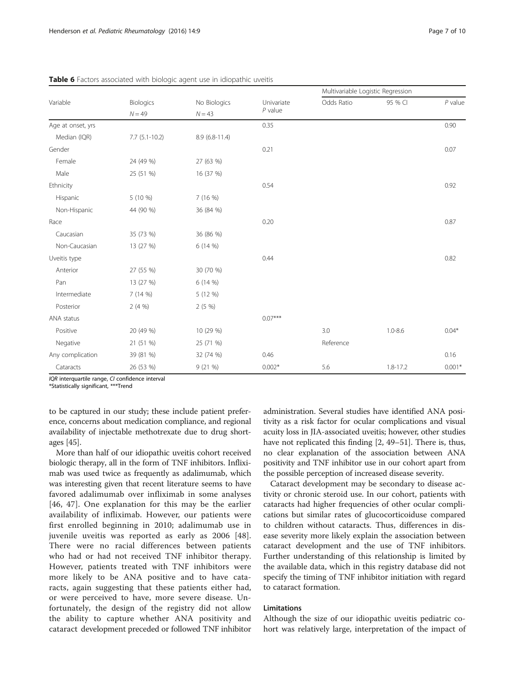| Variable          | <b>Biologics</b> | No Biologics<br>$N = 43$ | Univariate<br>$P$ value | Multivariable Logistic Regression |              |           |
|-------------------|------------------|--------------------------|-------------------------|-----------------------------------|--------------|-----------|
|                   |                  |                          |                         | Odds Ratio                        | 95 % CI      | $P$ value |
|                   | $N = 49$         |                          |                         |                                   |              |           |
| Age at onset, yrs |                  |                          | 0.35                    |                                   |              | 0.90      |
| Median (IQR)      | $7.7(5.1-10.2)$  | 8.9 (6.8-11.4)           |                         |                                   |              |           |
| Gender            |                  |                          | 0.21                    |                                   |              | 0.07      |
| Female            | 24 (49 %)        | 27 (63 %)                |                         |                                   |              |           |
| Male              | 25 (51 %)        | 16 (37 %)                |                         |                                   |              |           |
| Ethnicity         |                  |                          | 0.54                    |                                   |              | 0.92      |
| Hispanic          | $5(10\%)$        | 7 (16 %)                 |                         |                                   |              |           |
| Non-Hispanic      | 44 (90 %)        | 36 (84 %)                |                         |                                   |              |           |
| Race              |                  |                          | 0.20                    |                                   |              | 0.87      |
| Caucasian         | 35 (73 %)        | 36 (86 %)                |                         |                                   |              |           |
| Non-Caucasian     | 13 (27 %)        | 6 (14 %)                 |                         |                                   |              |           |
| Uveitis type      |                  |                          | 0.44                    |                                   |              | 0.82      |
| Anterior          | 27 (55 %)        | 30 (70 %)                |                         |                                   |              |           |
| Pan               | 13 (27 %)        | 6(14%)                   |                         |                                   |              |           |
| Intermediate      | 7 (14 %)         | 5 (12 %)                 |                         |                                   |              |           |
| Posterior         | 2(4%)            | 2(5%                     |                         |                                   |              |           |
| ANA status        |                  |                          | $0.07***$               |                                   |              |           |
| Positive          | 20 (49 %)        | 10 (29 %)                |                         | 3.0                               | $1.0 - 8.6$  | $0.04*$   |
| Negative          | 21 (51 %)        | 25 (71 %)                |                         | Reference                         |              |           |
| Any complication  | 39 (81 %)        | 32 (74 %)                | 0.46                    |                                   |              | 0.16      |
| Cataracts         | 26 (53 %)        | 9(21%                    | $0.002*$                | 5.6                               | $1.8 - 17.2$ | $0.001*$  |

<span id="page-6-0"></span>

IQR interquartile range, CI confidence interval

\*Statistically significant, \*\*\*Trend

to be captured in our study; these include patient preference, concerns about medication compliance, and regional availability of injectable methotrexate due to drug shortages [\[45\]](#page-9-0).

More than half of our idiopathic uveitis cohort received biologic therapy, all in the form of TNF inhibitors. Infliximab was used twice as frequently as adalimumab, which was interesting given that recent literature seems to have favored adalimumab over infliximab in some analyses [[46](#page-9-0), [47](#page-9-0)]. One explanation for this may be the earlier availability of infliximab. However, our patients were first enrolled beginning in 2010; adalimumab use in juvenile uveitis was reported as early as 2006 [[48](#page-9-0)]. There were no racial differences between patients who had or had not received TNF inhibitor therapy. However, patients treated with TNF inhibitors were more likely to be ANA positive and to have cataracts, again suggesting that these patients either had, or were perceived to have, more severe disease. Unfortunately, the design of the registry did not allow the ability to capture whether ANA positivity and cataract development preceded or followed TNF inhibitor administration. Several studies have identified ANA positivity as a risk factor for ocular complications and visual acuity loss in JIA-associated uveitis; however, other studies have not replicated this finding [\[2,](#page-8-0) [49](#page-9-0)-[51](#page-9-0)]. There is, thus, no clear explanation of the association between ANA positivity and TNF inhibitor use in our cohort apart from the possible perception of increased disease severity.

Cataract development may be secondary to disease activity or chronic steroid use. In our cohort, patients with cataracts had higher frequencies of other ocular complications but similar rates of glucocorticoiduse compared to children without cataracts. Thus, differences in disease severity more likely explain the association between cataract development and the use of TNF inhibitors. Further understanding of this relationship is limited by the available data, which in this registry database did not specify the timing of TNF inhibitor initiation with regard to cataract formation.

# Limitations

Although the size of our idiopathic uveitis pediatric cohort was relatively large, interpretation of the impact of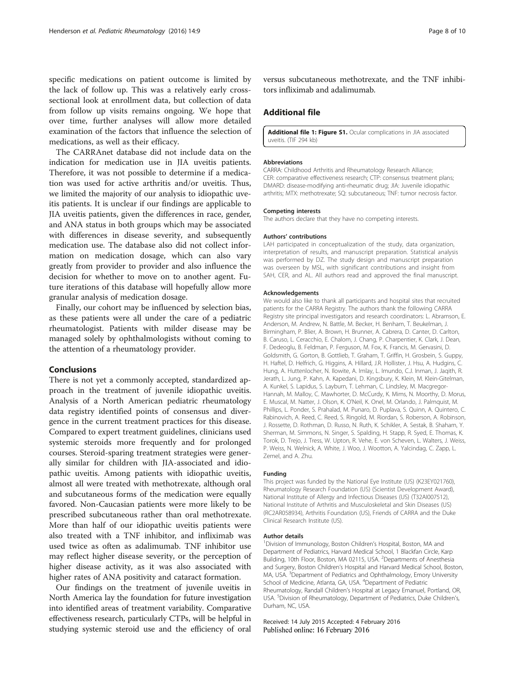<span id="page-7-0"></span>specific medications on patient outcome is limited by the lack of follow up. This was a relatively early crosssectional look at enrollment data, but collection of data from follow up visits remains ongoing. We hope that over time, further analyses will allow more detailed examination of the factors that influence the selection of medications, as well as their efficacy.

The CARRAnet database did not include data on the indication for medication use in JIA uveitis patients. Therefore, it was not possible to determine if a medication was used for active arthritis and/or uveitis. Thus, we limited the majority of our analysis to idiopathic uveitis patients. It is unclear if our findings are applicable to JIA uveitis patients, given the differences in race, gender, and ANA status in both groups which may be associated with differences in disease severity, and subsequently medication use. The database also did not collect information on medication dosage, which can also vary greatly from provider to provider and also influence the decision for whether to move on to another agent. Future iterations of this database will hopefully allow more granular analysis of medication dosage.

Finally, our cohort may be influenced by selection bias, as these patients were all under the care of a pediatric rheumatologist. Patients with milder disease may be managed solely by ophthalmologists without coming to the attention of a rheumatology provider.

## Conclusions

There is not yet a commonly accepted, standardized approach in the treatment of juvenile idiopathic uveitis. Analysis of a North American pediatric rheumatology data registry identified points of consensus and divergence in the current treatment practices for this disease. Compared to expert treatment guidelines, clinicians used systemic steroids more frequently and for prolonged courses. Steroid-sparing treatment strategies were generally similar for children with JIA-associated and idiopathic uveitis. Among patients with idiopathic uveitis, almost all were treated with methotrexate, although oral and subcutaneous forms of the medication were equally favored. Non-Caucasian patients were more likely to be prescribed subcutaneous rather than oral methotrexate. More than half of our idiopathic uveitis patients were also treated with a TNF inhibitor, and infliximab was used twice as often as adalimumab. TNF inhibitor use may reflect higher disease severity, or the perception of higher disease activity, as it was also associated with higher rates of ANA positivity and cataract formation.

Our findings on the treatment of juvenile uveitis in North America lay the foundation for future investigation into identified areas of treatment variability. Comparative effectiveness research, particularly CTPs, will be helpful in studying systemic steroid use and the efficiency of oral versus subcutaneous methotrexate, and the TNF inhibitors infliximab and adalimumab.

# Additional file

[Additional file 1: Figure S1.](dx.doi.org/10.1186/s12969-016-0069-5) Ocular complications in JIA associated uveitis. (TIF 294 kb)

#### Abbreviations

CARRA: Childhood Arthritis and Rheumatology Research Alliance; CER: comparative effectiveness research; CTP: consensus treatment plans; DMARD: disease-modifying anti-rheumatic drug; JIA: Juvenile idiopathic arthritis; MTX: methotrexate; SQ: subcutaneous; TNF: tumor necrosis factor.

#### Competing interests

The authors declare that they have no competing interests.

#### Authors' contributions

LAH participated in conceptualization of the study, data organization, interpretation of results, and manuscript preparation. Statistical analysis was performed by DZ. The study design and manuscript preparation was overseen by MSL, with significant contributions and insight from SAH, CER, and AL. All authors read and approved the final manuscript.

#### Acknowledgements

We would also like to thank all participants and hospital sites that recruited patients for the CARRA Registry. The authors thank the following CARRA Registry site principal investigators and research coordinators: L. Abramson, E. Anderson, M. Andrew, N. Battle, M. Becker, H. Benham, T. Beukelman, J. Birmingham, P. Blier, A. Brown, H. Brunner, A. Cabrera, D. Canter, D. Carlton, B. Caruso, L. Ceracchio, E. Chalom, J. Chang, P. Charpentier, K. Clark, J. Dean, F. Dedeoglu, B. Feldman, P. Ferguson, M. Fox, K. Francis, M. Gervasini, D. Goldsmith, G. Gorton, B. Gottlieb, T. Graham, T. Griffin, H. Grosbein, S. Guppy, H. Haftel, D. Helfrich, G. Higgins, A. Hillard, J.R. Hollister, J. Hsu, A. Hudgins, C. Hung, A. Huttenlocher, N. Ilowite, A. Imlay, L. Imundo, C.J. Inman, J. Jaqith, R. Jerath, L. Jung, P. Kahn, A. Kapedani, D. Kingsbury, K. Klein, M. Klein-Gitelman, A. Kunkel, S. Lapidus, S. Layburn, T. Lehman, C. Lindsley, M. Macgregor-Hannah, M. Malloy, C. Mawhorter, D. McCurdy, K. Mims, N. Moorthy, D. Morus, E. Muscal, M. Natter, J. Olson, K. O'Neil, K. Onel, M. Orlando, J. Palmquist, M. Phillips, L. Ponder, S. Prahalad, M. Punaro, D. Puplava, S. Quinn, A. Quintero, C. Rabinovich, A. Reed, C. Reed, S. Ringold, M. Riordan, S. Roberson, A. Robinson, J. Rossette, D. Rothman, D. Russo, N. Ruth, K. Schikler, A. Sestak, B. Shaham, Y. Sherman, M. Simmons, N. Singer, S. Spalding, H. Stapp, R. Syed, E. Thomas, K. Torok, D. Trejo, J. Tress, W. Upton, R. Vehe, E. von Scheven, L. Walters, J. Weiss, P. Weiss, N. Welnick, A. White, J. Woo, J. Wootton, A. Yalcindag, C. Zapp, L. Zemel, and A. Zhu.

#### Funding

This project was funded by the National Eye Institute (US) (K23EY021760), Rheumatology Research Foundation (US) (Scientist Development Award), National Institute of Allergy and Infectious Diseases (US) (T32AI007512), National Institute of Arthritis and Musculoskeletal and Skin Diseases (US) (RC2AR058934), Arthritis Foundation (US), Friends of CARRA and the Duke Clinical Research Institute (US).

#### Author details

<sup>1</sup> Division of Immunology, Boston Children's Hospital, Boston, MA and Department of Pediatrics, Harvard Medical School, 1 Blackfan Circle, Karp Building, 10th Floor, Boston, MA 02115, USA. <sup>2</sup>Departments of Anesthesia and Surgery, Boston Children's Hospital and Harvard Medical School, Boston, MA, USA. <sup>3</sup>Department of Pediatrics and Ophthalmology, Emory University School of Medicine, Atlanta, GA, USA. <sup>4</sup>Department of Pediatric Rheumatology, Randall Children's Hospital at Legacy Emanuel, Portland, OR, USA. <sup>5</sup>Division of Rheumatology, Department of Pediatrics, Duke Children's Durham, NC, USA.

Received: 14 July 2015 Accepted: 4 February 2016 Published online: 16 February 2016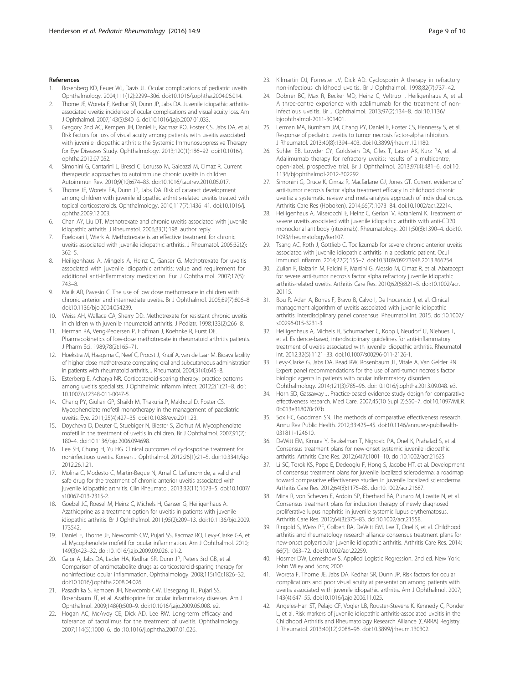#### <span id="page-8-0"></span>References

- Rosenberg KD, Feuer WJ, Davis JL. Ocular complications of pediatric uveitis. Ophthalmology. 2004;111(12):2299–306. doi:[10.1016/j.ophtha.2004.06.014](http://dx.doi.org/10.1016/j.ophtha.2004.06.014).
- 2. Thorne JE, Woreta F, Kedhar SR, Dunn JP, Jabs DA. Juvenile idiopathic arthritisassociated uveitis: incidence of ocular complications and visual acuity loss. Am J Ophthalmol. 2007;143(5):840–6. doi[:10.1016/j.ajo.2007.01.033](http://dx.doi.org/10.1016/j.ajo.2007.01.033).
- Gregory 2nd AC, Kempen JH, Daniel E, Kacmaz RO, Foster CS, Jabs DA, et al. Risk factors for loss of visual acuity among patients with uveitis associated with juvenile idiopathic arthritis: the Systemic Immunosuppressive Therapy for Eye Diseases Study. Ophthalmology. 2013;120(1):186–92. doi:[10.1016/j.](http://dx.doi.org/10.1016/j.ophtha.2012.07.052) [ophtha.2012.07.052.](http://dx.doi.org/10.1016/j.ophtha.2012.07.052)
- 4. Simonini G, Cantarini L, Bresci C, Lorusso M, Galeazzi M, Cimaz R. Current therapeutic approaches to autoimmune chronic uveitis in children. Autoimmun Rev. 2010;9(10):674–83. doi:[10.1016/j.autrev.2010.05.017.](http://dx.doi.org/10.1016/j.autrev.2010.05.017)
- 5. Thorne JE, Woreta FA, Dunn JP, Jabs DA. Risk of cataract development among children with juvenile idiopathic arthritis-related uveitis treated with topical corticosteroids. Ophthalmology. 2010;117(7):1436–41. doi:[10.1016/j.](http://dx.doi.org/10.1016/j.ophtha.2009.12.003) [ophtha.2009.12.003.](http://dx.doi.org/10.1016/j.ophtha.2009.12.003)
- 6. Chan AY, Liu DT. Methotrexate and chronic uveitis associated with juvenile idiopathic arthritis. J Rheumatol. 2006;33(1):198. author reply.
- 7. Foeldvari I, Wierk A. Methotrexate is an effective treatment for chronic uveitis associated with juvenile idiopathic arthritis. J Rheumatol. 2005;32(2): 362–5.
- Heiligenhaus A, Mingels A, Heinz C, Ganser G. Methotrexate for uveitis associated with juvenile idiopathic arthritis: value and requirement for additional anti-inflammatory medication. Eur J Ophthalmol. 2007;17(5): 743–8.
- 9. Malik AR, Pavesio C. The use of low dose methotrexate in children with chronic anterior and intermediate uveitis. Br J Ophthalmol. 2005;89(7):806–8. doi[:10.1136/bjo.2004.054239.](http://dx.doi.org/10.1136/bjo.2004.054239)
- 10. Weiss AH, Wallace CA, Sherry DD. Methotrexate for resistant chronic uveitis in children with juvenile rheumatoid arthritis. J Pediatr. 1998;133(2):266–8.
- 11. Herman RA, Veng-Pedersen P, Hoffman J, Koehnke R, Furst DE. Pharmacokinetics of low-dose methotrexate in rheumatoid arthritis patients. J Pharm Sci. 1989;78(2):165–71.
- 12. Hoekstra M, Haagsma C, Neef C, Proost J, Knuif A, van de Laar M. Bioavailability of higher dose methotrexate comparing oral and subcutaneous administration in patients with rheumatoid arthritis. J Rheumatol. 2004;31(4):645–8.
- 13. Esterberg E, Acharya NR. Corticosteroid-sparing therapy: practice patterns among uveitis specialists. J Ophthalmic Inflamm Infect. 2012;2(1):21–8. doi: [10.1007/s12348-011-0047-5.](http://dx.doi.org/10.1007/s12348-011-0047-5)
- 14. Chang PY, Giuliari GP, Shaikh M, Thakuria P, Makhoul D, Foster CS. Mycophenolate mofetil monotherapy in the management of paediatric uveitis. Eye. 2011;25(4):427–35. doi[:10.1038/eye.2011.23](http://dx.doi.org/10.1038/eye.2011.23).
- 15. Doycheva D, Deuter C, Stuebiger N, Biester S, Zierhut M. Mycophenolate mofetil in the treatment of uveitis in children. Br J Ophthalmol. 2007;91(2): 180–4. doi:[10.1136/bjo.2006.094698](http://dx.doi.org/10.1136/bjo.2006.094698).
- 16. Lee SH, Chung H, Yu HG. Clinical outcomes of cyclosporine treatment for noninfectious uveitis. Korean J Ophthalmol. 2012;26(1):21–5. doi[:10.3341/kjo.](http://dx.doi.org/10.3341/kjo.2012.26.1.21) [2012.26.1.21.](http://dx.doi.org/10.3341/kjo.2012.26.1.21)
- 17. Molina C, Modesto C, Martin-Begue N, Arnal C. Leflunomide, a valid and safe drug for the treatment of chronic anterior uveitis associated with juvenile idiopathic arthritis. Clin Rheumatol. 2013;32(11):1673–5. doi[:10.1007/](http://dx.doi.org/10.1007/s10067-013-2315-2) [s10067-013-2315-2.](http://dx.doi.org/10.1007/s10067-013-2315-2)
- 18. Goebel JC, Roesel M, Heinz C, Michels H, Ganser G, Heiligenhaus A. Azathioprine as a treatment option for uveitis in patients with juvenile idiopathic arthritis. Br J Ophthalmol. 2011;95(2):209–13. doi[:10.1136/bjo.2009.](http://dx.doi.org/10.1136/bjo.2009.173542) [173542](http://dx.doi.org/10.1136/bjo.2009.173542).
- 19. Daniel E, Thorne JE, Newcomb CW, Pujari SS, Kacmaz RO, Levy-Clarke GA, et al. Mycophenolate mofetil for ocular inflammation. Am J Ophthalmol. 2010; 149(3):423–32. doi[:10.1016/j.ajo.2009.09.026.](http://dx.doi.org/10.1016/j.ajo.2009.09.026) e1-2.
- 20. Galor A, Jabs DA, Leder HA, Kedhar SR, Dunn JP, Peters 3rd GB, et al. Comparison of antimetabolite drugs as corticosteroid-sparing therapy for noninfectious ocular inflammation. Ophthalmology. 2008;115(10):1826–32. doi[:10.1016/j.ophtha.2008.04.026.](http://dx.doi.org/10.1016/j.ophtha.2008.04.026)
- 21. Pasadhika S, Kempen JH, Newcomb CW, Liesegang TL, Pujari SS, Rosenbaum JT, et al. Azathioprine for ocular inflammatory diseases. Am J Ophthalmol. 2009;148(4):500–9. doi[:10.1016/j.ajo.2009.05.008.](http://dx.doi.org/10.1016/j.ajo.2009.05.008) e2.
- 22. Hogan AC, McAvoy CE, Dick AD, Lee RW. Long-term efficacy and tolerance of tacrolimus for the treatment of uveitis. Ophthalmology. 2007;114(5):1000–6. doi:[10.1016/j.ophtha.2007.01.026](http://dx.doi.org/10.1016/j.ophtha.2007.01.026).
- 23. Kilmartin DJ, Forrester JV, Dick AD. Cyclosporin A therapy in refractory non-infectious childhood uveitis. Br J Ophthalmol. 1998;82(7):737–42.
- 24. Dobner BC, Max R, Becker MD, Heinz C, Veltrup I, Heiligenhaus A, et al. A three-centre experience with adalimumab for the treatment of noninfectious uveitis. Br J Ophthalmol. 2013;97(2):134–8. doi[:10.1136/](http://dx.doi.org/10.1136/bjophthalmol-2011-301401) [bjophthalmol-2011-301401.](http://dx.doi.org/10.1136/bjophthalmol-2011-301401)
- 25. Lerman MA, Burnham JM, Chang PY, Daniel E, Foster CS, Hennessy S, et al. Response of pediatric uveitis to tumor necrosis factor-alpha inhibitors. J Rheumatol. 2013;40(8):1394–403. doi:[10.3899/jrheum.121180.](http://dx.doi.org/10.3899/jrheum.121180)
- 26. Suhler EB, Lowder CY, Goldstein DA, Giles T, Lauer AK, Kurz PA, et al. Adalimumab therapy for refractory uveitis: results of a multicentre, open-label, prospective trial. Br J Ophthalmol. 2013;97(4):481–6. doi[:10.](http://dx.doi.org/10.1136/bjophthalmol-2012-302292) [1136/bjophthalmol-2012-302292](http://dx.doi.org/10.1136/bjophthalmol-2012-302292).
- 27. Simonini G, Druce K, Cimaz R, Macfarlane GJ, Jones GT. Current evidence of anti-tumor necrosis factor alpha treatment efficacy in childhood chronic uveitis: a systematic review and meta-analysis approach of individual drugs. Arthritis Care Res (Hoboken). 2014;66(7):1073–84. doi[:10.1002/acr.22214.](http://dx.doi.org/10.1002/acr.22214)
- 28. Heiligenhaus A, Miserocchi E, Heinz C, Gerloni V, Kotaniemi K. Treatment of severe uveitis associated with juvenile idiopathic arthritis with anti-CD20 monoclonal antibody (rituximab). Rheumatology. 2011;50(8):1390–4. doi[:10.](http://dx.doi.org/10.1093/rheumatology/ker107) [1093/rheumatology/ker107](http://dx.doi.org/10.1093/rheumatology/ker107).
- 29. Tsang AC, Roth J, Gottlieb C. Tocilizumab for severe chronic anterior uveitis associated with juvenile idiopathic arthritis in a pediatric patient. Ocul Immunol Inflamm. 2014;22(2):155–7. doi[:10.3109/09273948.2013.866254](http://dx.doi.org/10.3109/09273948.2013.866254).
- Zulian F, Balzarin M, Falcini F, Martini G, Alessio M, Cimaz R, et al. Abatacept for severe anti-tumor necrosis factor alpha refractory juvenile idiopathic arthritis-related uveitis. Arthritis Care Res. 2010;62(6):821–5. doi:[10.1002/acr.](http://dx.doi.org/10.1002/acr.20115) [20115.](http://dx.doi.org/10.1002/acr.20115)
- 31. Bou R, Adan A, Borras F, Bravo B, Calvo I, De Inocencio J, et al. Clinical management algorithm of uveitis associated with juvenile idiopathic arthritis: interdisciplinary panel consensus. Rheumatol Int. 2015. doi[:10.1007/](http://dx.doi.org/10.1007/s00296-015-3231-3) [s00296-015-3231-3.](http://dx.doi.org/10.1007/s00296-015-3231-3)
- 32. Heiligenhaus A, Michels H, Schumacher C, Kopp I, Neudorf U, Niehues T, et al. Evidence-based, interdisciplinary guidelines for anti-inflammatory treatment of uveitis associated with juvenile idiopathic arthritis. Rheumatol Int. 2012;32(5):1121–33. doi[:10.1007/s00296-011-2126-1](http://dx.doi.org/10.1007/s00296-011-2126-1).
- 33. Levy-Clarke G, Jabs DA, Read RW, Rosenbaum JT, Vitale A, Van Gelder RN. Expert panel recommendations for the use of anti-tumor necrosis factor biologic agents in patients with ocular inflammatory disorders. Ophthalmology. 2014;121(3):785–96. doi:[10.1016/j.ophtha.2013.09.048](http://dx.doi.org/10.1016/j.ophtha.2013.09.048). e3.
- 34. Horn SD, Gassaway J. Practice-based evidence study design for comparative effectiveness research. Med Care. 2007;45(10 Supl 2):S50–7. doi[:10.1097/MLR.](http://dx.doi.org/10.1097/MLR.0b013e318070c07b) [0b013e318070c07b.](http://dx.doi.org/10.1097/MLR.0b013e318070c07b)
- 35. Sox HC, Goodman SN. The methods of comparative effectiveness research. Annu Rev Public Health. 2012;33:425–45. doi:[10.1146/annurev-publhealth-](http://dx.doi.org/10.1146/annurev-publhealth-031811-124610)[031811-124610.](http://dx.doi.org/10.1146/annurev-publhealth-031811-124610)
- 36. DeWitt EM, Kimura Y, Beukelman T, Nigrovic PA, Onel K, Prahalad S, et al. Consensus treatment plans for new-onset systemic juvenile idiopathic arthritis. Arthritis Care Res. 2012;64(7):1001–10. doi:[10.1002/acr.21625](http://dx.doi.org/10.1002/acr.21625).
- 37. Li SC, Torok KS, Pope E, Dedeoglu F, Hong S, Jacobe HT, et al. Development of consensus treatment plans for juvenile localized scleroderma: a roadmap toward comparative effectiveness studies in juvenile localized scleroderma. Arthritis Care Res. 2012;64(8):1175–85. doi[:10.1002/acr.21687.](http://dx.doi.org/10.1002/acr.21687)
- 38. Mina R, von Scheven E, Ardoin SP, Eberhard BA, Punaro M, Ilowite N, et al. Consensus treatment plans for induction therapy of newly diagnosed proliferative lupus nephritis in juvenile systemic lupus erythematosus. Arthritis Care Res. 2012;64(3):375–83. doi:[10.1002/acr.21558.](http://dx.doi.org/10.1002/acr.21558)
- 39. Ringold S, Weiss PF, Colbert RA, DeWitt EM, Lee T, Onel K, et al. Childhood arthritis and rheumatology research alliance consensus treatment plans for new-onset polyarticular juvenile idiopathic arthritis. Arthritis Care Res. 2014; 66(7):1063–72. doi:[10.1002/acr.22259](http://dx.doi.org/10.1002/acr.22259).
- 40. Hosmer DW, Lemeshow S. Applied Logistic Regression. 2nd ed. New York: John Wiley and Sons; 2000.
- 41. Woreta F, Thorne JE, Jabs DA, Kedhar SR, Dunn JP. Risk factors for ocular complications and poor visual acuity at presentation among patients with uveitis associated with juvenile idiopathic arthritis. Am J Ophthalmol. 2007; 143(4):647–55. doi:[10.1016/j.ajo.2006.11.025](http://dx.doi.org/10.1016/j.ajo.2006.11.025).
- 42. Angeles-Han ST, Pelajo CF, Vogler LB, Rouster-Stevens K, Kennedy C, Ponder L, et al. Risk markers of juvenile idiopathic arthritis-associated uveitis in the Childhood Arthritis and Rheumatology Research Alliance (CARRA) Registry. J Rheumatol. 2013;40(12):2088–96. doi:[10.3899/jrheum.130302.](http://dx.doi.org/10.3899/jrheum.130302)